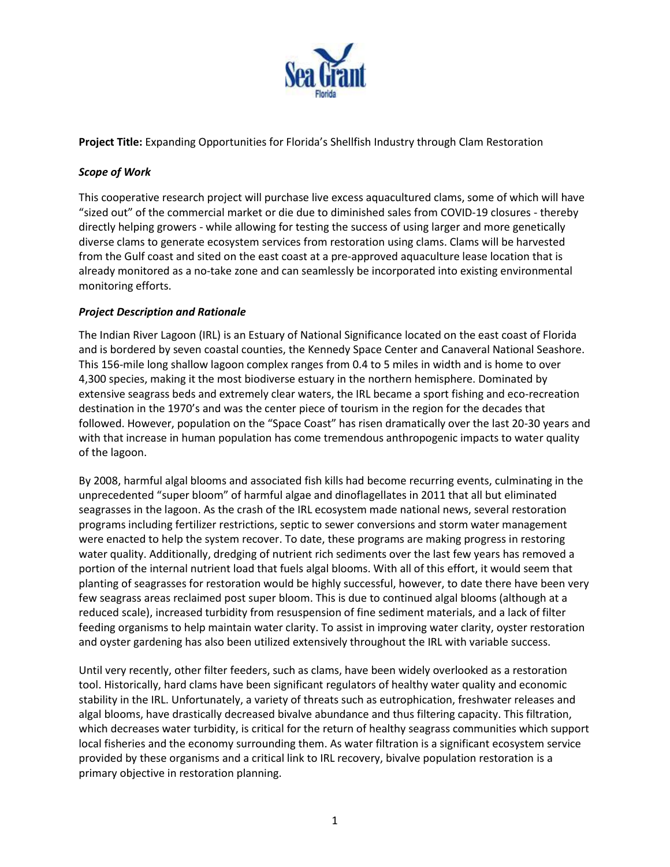

**Project Title:** Expanding Opportunities for Florida's Shellfish Industry through Clam Restoration

### *Scope of Work*

This cooperative research project will purchase live excess aquacultured clams, some of which will have "sized out" of the commercial market or die due to diminished sales from COVID-19 closures - thereby directly helping growers - while allowing for testing the success of using larger and more genetically diverse clams to generate ecosystem services from restoration using clams. Clams will be harvested from the Gulf coast and sited on the east coast at a pre-approved aquaculture lease location that is already monitored as a no-take zone and can seamlessly be incorporated into existing environmental monitoring efforts.

#### *Project Description and Rationale*

The Indian River Lagoon (IRL) is an Estuary of National Significance located on the east coast of Florida and is bordered by seven coastal counties, the Kennedy Space Center and Canaveral National Seashore. This 156-mile long shallow lagoon complex ranges from 0.4 to 5 miles in width and is home to over 4,300 species, making it the most biodiverse estuary in the northern hemisphere. Dominated by extensive seagrass beds and extremely clear waters, the IRL became a sport fishing and eco-recreation destination in the 1970's and was the center piece of tourism in the region for the decades that followed. However, population on the "Space Coast" has risen dramatically over the last 20-30 years and with that increase in human population has come tremendous anthropogenic impacts to water quality of the lagoon.

By 2008, harmful algal blooms and associated fish kills had become recurring events, culminating in the unprecedented "super bloom" of harmful algae and dinoflagellates in 2011 that all but eliminated seagrasses in the lagoon. As the crash of the IRL ecosystem made national news, several restoration programs including fertilizer restrictions, septic to sewer conversions and storm water management were enacted to help the system recover. To date, these programs are making progress in restoring water quality. Additionally, dredging of nutrient rich sediments over the last few years has removed a portion of the internal nutrient load that fuels algal blooms. With all of this effort, it would seem that planting of seagrasses for restoration would be highly successful, however, to date there have been very few seagrass areas reclaimed post super bloom. This is due to continued algal blooms (although at a reduced scale), increased turbidity from resuspension of fine sediment materials, and a lack of filter feeding organisms to help maintain water clarity. To assist in improving water clarity, oyster restoration and oyster gardening has also been utilized extensively throughout the IRL with variable success.

Until very recently, other filter feeders, such as clams, have been widely overlooked as a restoration tool. Historically, hard clams have been significant regulators of healthy water quality and economic stability in the IRL. Unfortunately, a variety of threats such as eutrophication, freshwater releases and algal blooms, have drastically decreased bivalve abundance and thus filtering capacity. This filtration, which decreases water turbidity, is critical for the return of healthy seagrass communities which support local fisheries and the economy surrounding them. As water filtration is a significant ecosystem service provided by these organisms and a critical link to IRL recovery, bivalve population restoration is a primary objective in restoration planning.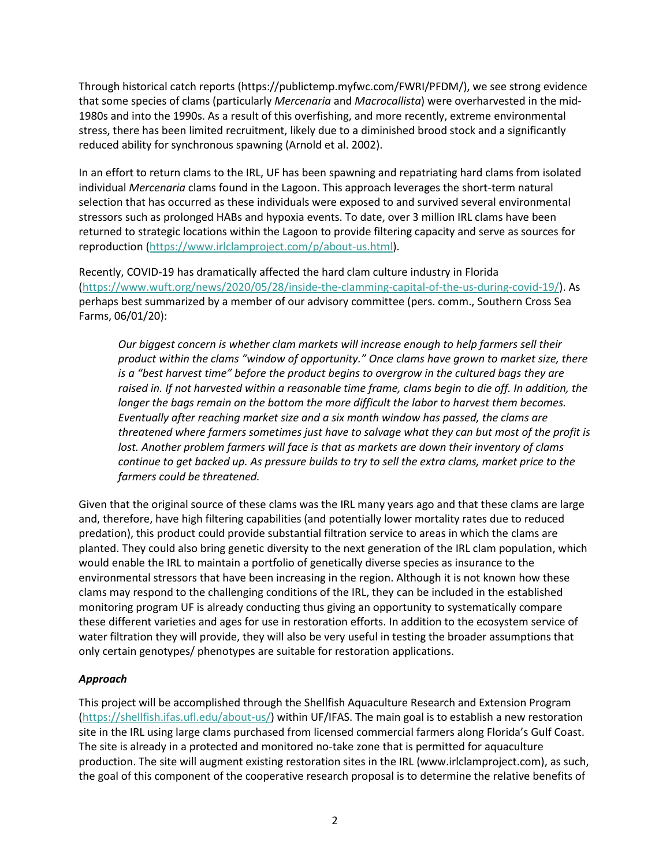Through historical catch reports (https://publictemp.myfwc.com/FWRI/PFDM/), we see strong evidence that some species of clams (particularly *Mercenaria* and *Macrocallista*) were overharvested in the mid-1980s and into the 1990s. As a result of this overfishing, and more recently, extreme environmental stress, there has been limited recruitment, likely due to a diminished brood stock and a significantly reduced ability for synchronous spawning (Arnold et al. 2002).

In an effort to return clams to the IRL, UF has been spawning and repatriating hard clams from isolated individual *Mercenaria* clams found in the Lagoon. This approach leverages the short-term natural selection that has occurred as these individuals were exposed to and survived several environmental stressors such as prolonged HABs and hypoxia events. To date, over 3 million IRL clams have been returned to strategic locations within the Lagoon to provide filtering capacity and serve as sources for reproduction [\(https://www.irlclamproject.com/p/about-us.html\)](https://www.irlclamproject.com/p/about-us.html).

Recently, COVID-19 has dramatically affected the hard clam culture industry in Florida [\(https://www.wuft.org/news/2020/05/28/inside-the-clamming-capital-of-the-us-during-covid-19/\)](https://www.wuft.org/news/2020/05/28/inside-the-clamming-capital-of-the-us-during-covid-19/). As perhaps best summarized by a member of our advisory committee (pers. comm., Southern Cross Sea Farms, 06/01/20):

*Our biggest concern is whether clam markets will increase enough to help farmers sell their product within the clams "window of opportunity." Once clams have grown to market size, there is a "best harvest time" before the product begins to overgrow in the cultured bags they are raised in. If not harvested within a reasonable time frame, clams begin to die off. In addition, the longer the bags remain on the bottom the more difficult the labor to harvest them becomes. Eventually after reaching market size and a six month window has passed, the clams are threatened where farmers sometimes just have to salvage what they can but most of the profit is*  lost. Another problem farmers will face is that as markets are down their inventory of clams *continue to get backed up. As pressure builds to try to sell the extra clams, market price to the farmers could be threatened.*

Given that the original source of these clams was the IRL many years ago and that these clams are large and, therefore, have high filtering capabilities (and potentially lower mortality rates due to reduced predation), this product could provide substantial filtration service to areas in which the clams are planted. They could also bring genetic diversity to the next generation of the IRL clam population, which would enable the IRL to maintain a portfolio of genetically diverse species as insurance to the environmental stressors that have been increasing in the region. Although it is not known how these clams may respond to the challenging conditions of the IRL, they can be included in the established monitoring program UF is already conducting thus giving an opportunity to systematically compare these different varieties and ages for use in restoration efforts. In addition to the ecosystem service of water filtration they will provide, they will also be very useful in testing the broader assumptions that only certain genotypes/ phenotypes are suitable for restoration applications.

# *Approach*

This project will be accomplished through the Shellfish Aquaculture Research and Extension Program [\(https://shellfish.ifas.ufl.edu/about-us/\)](https://shellfish.ifas.ufl.edu/about-us/) within UF/IFAS. The main goal is to establish a new restoration site in the IRL using large clams purchased from licensed commercial farmers along Florida's Gulf Coast. The site is already in a protected and monitored no-take zone that is permitted for aquaculture production. The site will augment existing restoration sites in the IRL (www.irlclamproject.com), as such, the goal of this component of the cooperative research proposal is to determine the relative benefits of